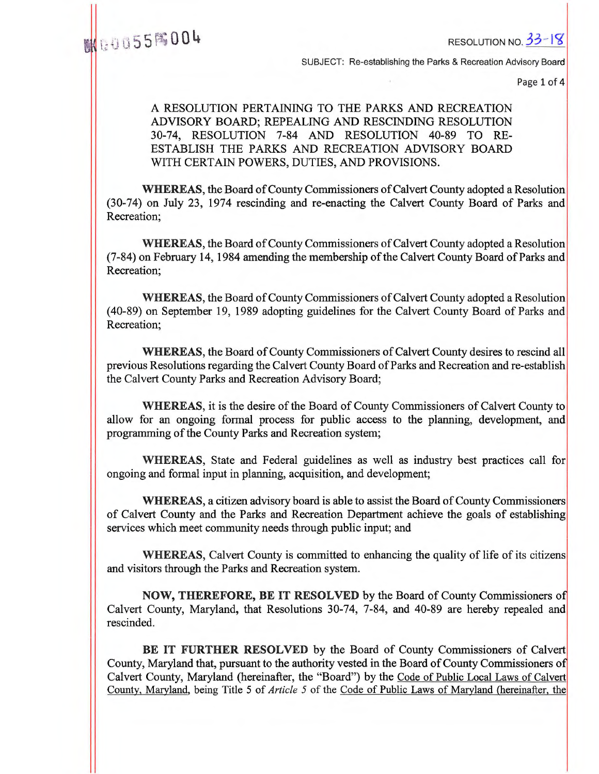# **EXECUTION NO. 33-18**

SUBJECT: Re-establishing the Parks & Recreation Advisory Board

Page 1 of 4

# A RESOLUTION PERTAINING TO THE PARKS AND RECREATION ADVISORY BOARD; REPEALING AND RESCINDING RESOLUTION 30-74, RESOLUTION 7-84 AND RESOLUTION 40-89 TO RE-ESTABLISH THE PARKS AND RECREATION ADVISORY BOARD WITH CERTAIN POWERS, DUTIES, AND PROVISIONS.

**WHEREAS,** the Board of County Commissioners of Calvert County adopted a Resolution (30-74) on July 23, 1974 rescinding and re-enacting the Calvert County Board of Parks and Recreation;

**WHEREAS,** the Board of County Commissioners of Calvert County adopted a Resolution (7-84) on February 14, 1984 amending the membership of the Calvert County Board of Parks and Recreation;

**WHEREAS,** the Board of County Commissioners of Calvert County adopted a Resolution (40-89) on September 19, 1989 adopting guidelines for the Calvert County Board of Parks and Recreation;

**WHEREAS,** the Board of County Commissioners of Calvert County desires to rescind all previous Resolutions regarding the Calvert County Board of Parks and Recreation and re-establish the Calvert County Parks and Recreation Advisory Board;

**WHEREAS,** it is the desire of the Board of County Commissioners of Calvert County to allow for an ongoing formal process for public access to the planning, development, and programming of the County Parks and Recreation system;

**WHEREAS,** State and Federal guidelines as well as industry best practices call for ongoing and formal input in planning, acquisition, and development;

**WHEREAS,** a citizen advisory board is able to assist the Board of County Commissioners of Calvert County and the Parks and Recreation Department achieve the goals of establishing services which meet community needs through public input; and

**WHEREAS,** Calvert County is committed to enhancing the quality of life of its citizens and visitors through the Parks and Recreation system.

**NOW, THEREFORE, BE IT RESOLVED** by the Board of County Commissioners of Calvert County, Maryland, that Resolutions 30-74, 7-84, and 40-89 are hereby repealed and rescinded.

**BE IT FURTHER RESOLVED** by the Board of County Commissioners of Calvert County, Maryland that, pursuant to the authority vested in the Board of County Commissioners of Calvert County, Maryland (hereinafter, the "Board") by the Code of Public Local Laws of Calvert County, Maryland, being Title 5 of *Article 5* of the Code of Public Laws of Maryland (hereinafter, the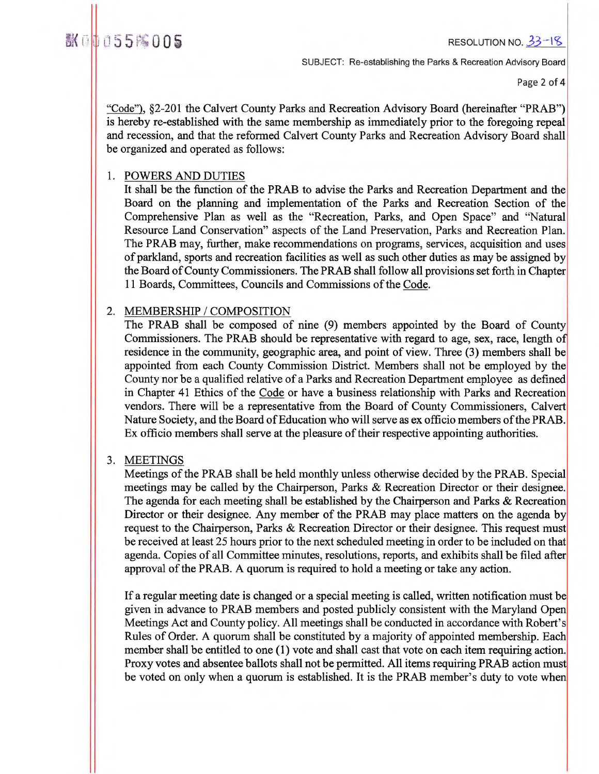翻①1055  $\%$  005 cm  $\frac{33-18}{5}$ 

SUBJECT: Re-establishing the Parks & Recreation Advisory Board

Page 2 of 4

"Code"), §2-201 the Calvert County Parks and Recreation Advisory Board (hereinafter "PRAB") is hereby re-established with the same membership as immediately prior to the foregoing repeal and recession, and that the reformed Calvert County Parks and Recreation Advisory Board shall be organized and operated as follows:

# 1. POWERS AND DUTIES

It shall be the function of the PRAB to advise the Parks and Recreation Department and the Board on the planning and implementation of the Parks and Recreation Section of the Comprehensive Plan as well as the "Recreation, Parks, and Open Space" and "Natural Resource Land Conservation" aspects of the Land Preservation, Parks and Recreation Plan. The PRAB may, further, make recommendations on programs, services, acquisition and uses of parkland, sports and recreation facilities as well as such other duties as may be assigned by the Board of County Commissioners. The PRAB shall follow all provisions set forth in Chapter 11 Boards, Committees, Councils and Commissions of the Code.

# 2. MEMBERSHIP / COMPOSITION

The PRAB shall be composed of nine (9) members appointed by the Board of County Commissioners. The PRAB should be representative with regard to age, sex, race, length of residence in the community, geographic area, and point of view. Three (3) members shall be appointed from each County Commission District. Members shall not be employed by the County nor be a qualified relative of a Parks and Recreation Department employee as defined in Chapter 41 Ethics of the Code or have a business relationship with Parks and Recreation vendors. There will be a representative from the Board of County Commissioners, Calvert Nature Society, and the Board of Education who will serve as ex officio members of the PRAB. Ex officio members shall serve at the pleasure of their respective appointing authorities.

# 3. MEETINGS

Meetings of the PRAB shall be held monthly unless otherwise decided by the PRAB. Special meetings may be called by the Chairperson, Parks & Recreation Director or their designee. The agenda for each meeting shall be established by the Chairperson and Parks & Recreation Director or their designee. Any member of the PRAB may place matters on the agenda by request to the Chairperson, Parks & Recreation Director or their designee. This request must be received at least 25 hours prior to the next scheduled meeting in order to be included on that agenda. Copies of all Committee minutes, resolutions, reports, and exhibits shall be filed after approval of the PRAB. A quorum is required to hold a meeting or take any action.

If a regular meeting date is changed or a special meeting is called, written notification must be given in advance to PRAB members and posted publicly consistent with the Maryland Open Meetings Act and County policy. All meetings shall be conducted in accordance with Robert's Rules of Order. A quorum shall be constituted by a majority of appointed membership. Each member shall be entitled to one (1) vote and shall cast that vote on each item requiring action. Proxy votes and absentee ballots shall not be permitted. All items requiring PRAB action must be voted on only when a quorum is established. It is the PRAB member's duty to vote when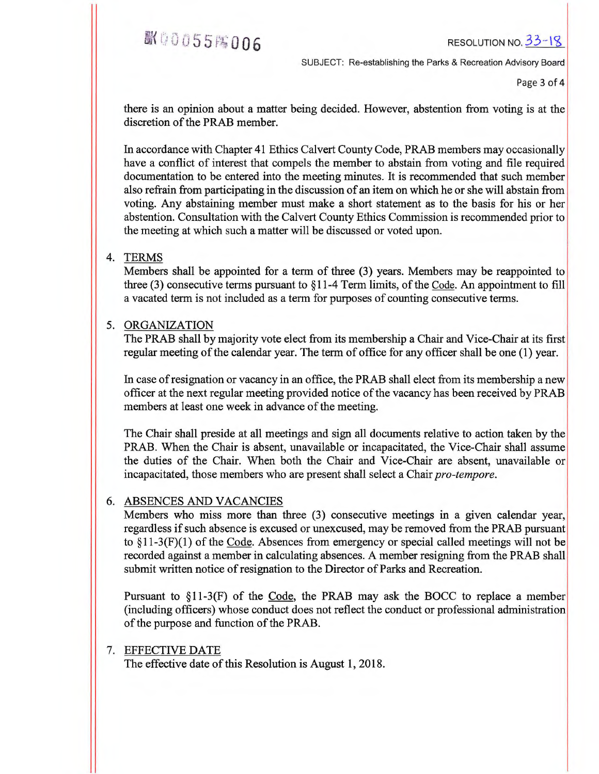**EX 40055 F&006** RESOLUTION NO. 33-18

SUBJECT: Re-establishing the Parks & Recreation Advisory Board

Page 3 of 4

there is an opinion about a matter being decided. However, abstention from voting is at the discretion of the PRAB member.

In accordance with Chapter 41 Ethics Calvert County Code, PRAB members may occasionally have a conflict of interest that compels the member to abstain from voting and file required documentation to be entered into the meeting minutes. It is recommended that such member also refrain from participating in the discussion of an item on which he or she will abstain from voting. Any abstaining member must make a short statement as to the basis for his or her abstention. Consultation with the Calvert County Ethics Commission is recommended prior to the meeting at which such a matter will be discussed or voted upon.

### 4. TERMS

Members shall be appointed for a term of three (3) years. Members may be reappointed to three (3) consecutive terms pursuant to §11-4 Term limits, of the Code. An appointment to fill a vacated term is not included as a term for purposes of counting consecutive terms.

### 5. ORGANIZATION

The PRAB shall by majority vote elect from its membership a Chair and Vice-Chair at its first regular meeting of the calendar year. The term of office for any officer shall be one (1) year.

In case of resignation or vacancy in an office, the PRAB shall elect from its membership a new officer at the next regular meeting provided notice of the vacancy has been received by PRAB members at least one week in advance of the meeting.

The Chair shall preside at all meetings and sign all documents relative to action taken by the PRAB. When the Chair is absent, unavailable or incapacitated, the Vice-Chair shall assume the duties of the Chair. When both the Chair and Vice-Chair are absent, unavailable or incapacitated, those members who are present shall select a Chair *pro-tempore.* 

## 6. ABSENCES AND VACANCIES

Members who miss more than three (3) consecutive meetings in a given calendar year, regardless if such absence is excused or unexcused, may be removed from the PRAB pursuant to §11-3(F)(1) of the Code. Absences from emergency or special called meetings will not be recorded against a member in calculating absences. A member resigning from the PRAB shall submit written notice of resignation to the Director of Parks and Recreation.

Pursuant to §11-3(F) of the Code, the PRAB may ask the BOCC to replace a member (including officers) whose conduct does not reflect the conduct or professional administration of the purpose and function of the PRAB.

## 7. EFFECTIVE DATE

The effective date of this Resolution is August 1, 2018.